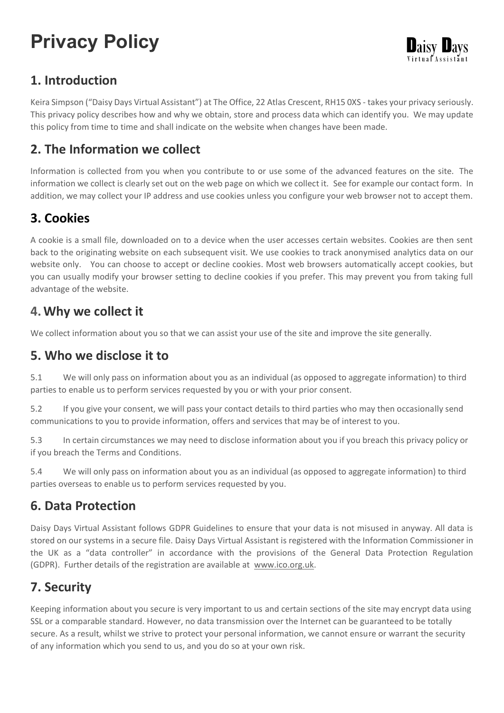# **Privacy Policy**

## **1. Introduction**

Keira Simpson ("Daisy Days Virtual Assistant") at The Office, 22 Atlas Crescent, RH15 0XS - takes your privacy seriously. This privacy policy describes how and why we obtain, store and process data which can identify you. We may update this policy from time to time and shall indicate on the website when changes have been made.

## **2. The Information we collect**

Information is collected from you when you contribute to or use some of the advanced features on the site. The information we collect is clearly set out on the web page on which we collect it. See for example our contact form. In addition, we may collect your IP address and use cookies unless you configure your web browser not to accept them.

#### **3. Cookies**

A cookie is a small file, downloaded on to a device when the user accesses certain websites. Cookies are then sent back to the originating website on each subsequent visit. We use cookies to track anonymised analytics data on our website only. You can choose to accept or decline cookies. Most web browsers automatically accept cookies, but you can usually modify your browser setting to decline cookies if you prefer. This may prevent you from taking full advantage of the website.

#### **4.Why we collect it**

We collect information about you so that we can assist your use of the site and improve the site generally.

#### **5. Who we disclose it to**

5.1 We will only pass on information about you as an individual (as opposed to aggregate information) to third parties to enable us to perform services requested by you or with your prior consent.

5.2 If you give your consent, we will pass your contact details to third parties who may then occasionally send communications to you to provide information, offers and services that may be of interest to you.

5.3 In certain circumstances we may need to disclose information about you if you breach this privacy policy or if you breach the Terms and Conditions.

5.4 We will only pass on information about you as an individual (as opposed to aggregate information) to third parties overseas to enable us to perform services requested by you.

#### **6. Data Protection**

Daisy Days Virtual Assistant follows GDPR Guidelines to ensure that your data is not misused in anyway. All data is stored on our systems in a secure file. Daisy Days Virtual Assistant is registered with the Information Commissioner in the UK as a "data controller" in accordance with the provisions of the General Data Protection Regulation (GDPR). Further details of the registration are available at [www.ico.org.uk.](https://ico.org.uk/)

### **7. Security**

Keeping information about you secure is very important to us and certain sections of the site may encrypt data using SSL or a comparable standard. However, no data transmission over the Internet can be guaranteed to be totally secure. As a result, whilst we strive to protect your personal information, we cannot ensure or warrant the security of any information which you send to us, and you do so at your own risk.